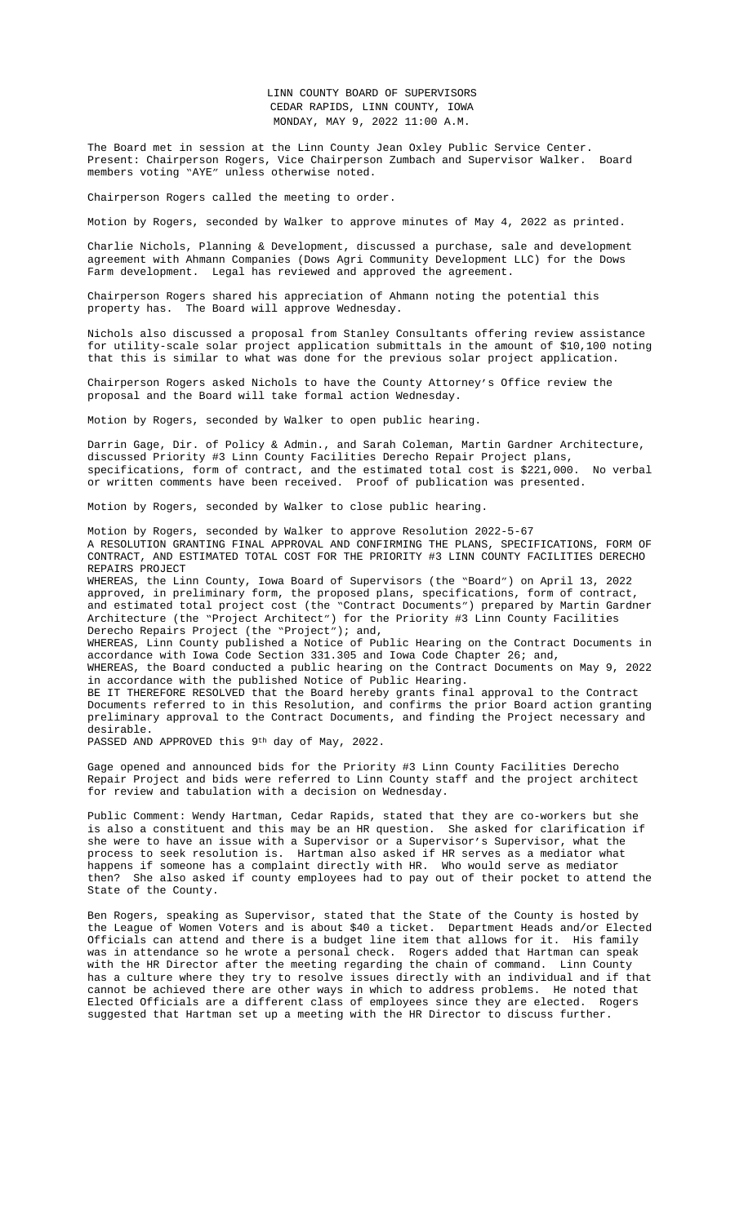agreement with Ahmann Companies (Dows Agri Community Development LLC) for the Dows Farm development. Legal has reviewed and approved the agreement.

Chairperson Rogers shared his appreciation of Ahmann noting the potential this property has. The Board will approve Wednesday.

Nichols also discussed a proposal from Stanley Consultants offering review assistance for utility-scale solar project application submittals in the amount of \$10,100 noting that this is similar to what was done for the previous solar project application.

Chairperson Rogers asked Nichols to have the County Attorney's Office review the proposal and the Board will take formal action Wednesday.

Motion by Rogers, seconded by Walker to open public hearing.

Darrin Gage, Dir. of Policy & Admin., and Sarah Coleman, Martin Gardner Architecture, discussed Priority #3 Linn County Facilities Derecho Repair Project plans, specifications, form of contract, and the estimated total cost is \$221,000. No verbal or written comments have been received. Proof of publication was presented.

Motion by Rogers, seconded by Walker to close public [hearing.](file:///C:\\Users\\AHoy\\AppData\\Local\\Microsoft\\Windows\\INetCache\\Content.Outlook\\M9Z7QANL\\Documents\\5-9%20&%205-11%20Ahmann%20Dows%20Farm%20PSDA%20(for%20Farm%20and%20Development%20Property)%20Final.pdf)

Motion by Rogers, seconded by Walker to approve Resolution 2022-5-67 A RESOLUTION GRANTING FINAL APPROVAL AND CONFIRMING THE PLANS, SPECIFICATIONS, FORM OF CONTRACT, AND ESTIMATED TOTAL COST FOR THE PRIORITY #3 LINN COUNTY FACILITIES DERECHO REPAIRS PROJECT

WHEREAS, the Linn County, Iowa Board of Supervisors (the "Board") on April 13, 2022 approved, in preliminary form, the prop[osed plans, specifi](file:///C:\\Users\\AHoy\\AppData\\Local\\Microsoft\\Windows\\INetCache\\Content.Outlook\\M9Z7QANL\\Documents\\5-9%20Stanley_Consultants_NextEraDocumentReview_04292022.pdf)cations, form of contract, and estimated total project cost (the "Contract Documents") prepared by Martin Gardner Architecture (the "Project Architect") for the Priority #3 Linn County Facilities Derecho Repairs Project (the "Project"); and,

WHEREAS, Linn County published a Notice of Public Hearing on the Contract Documents in accordance with Iowa Code Section 331.305 and Iowa Code Chapter 26; and,

WHEREAS, the Board conducted a public hearing on the Contract Documents on May 9, 2022 in accordance with the published Notice of Public Hearing.

BE IT THEREFORE RESOLVED that the Board hereby grants final approval to the Contract Documents referred to in this Resolution, and confirms the prior Board action granting preliminary approval to the Contract Documents, and finding the Project necessary and desirable.

PASSED AND APPROVED this 9th day of May, 2022.

Gage opened and announced bids for the Priority #3 Linn County Facilities Derecho Repair Project and bids were referred to Linn County staff and the project architect for review and tabulation with a decision on Wednesday.

Public Comment: Wendy Hartman, Cedar Rapids, stated that they are co-workers but she is also a constituent and this may be an HR question. She asked for clarification if she were to have an issue with a Supervisor or a Supervisor's Supervisor, what the process to seek resolution is. Hartman also asked if HR serves as a mediator what happens if someone has a complaint directly with HR. Who would serve as mediator then? She also asked if county employees had to pay out of their pocket to attend the State of the County.

Ben Rogers, speaking as Supervisor, stated that the State of the County is hosted by the League of Women Voters and is about \$40 a ticket. Department Heads and/or Elected Officials can attend and there is a budget line item that allows for it. His family was in attendance so he wrote a personal check. Rogers added that Hartman can speak with the HR Director after the meeting regarding the chain of command. Linn County has a culture where they try to resolve issues directly with an individual and if that cannot be achieved there are other ways in which to address problems. He noted that Elected Officials are a different class of employees since they are elected. Rogers suggested that Hartman set up a meeting with the HR Director to discuss further.